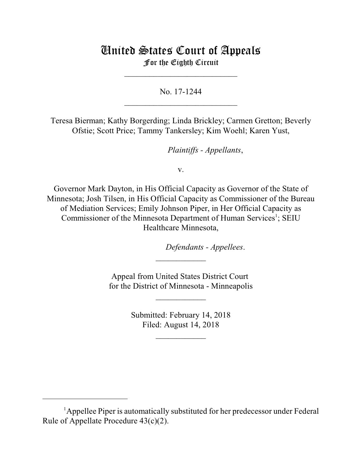## United States Court of Appeals For the Eighth Circuit

No. 17-1244

 $\mathcal{L}_\text{max}$  , which is a set of the set of the set of the set of the set of the set of the set of the set of the set of the set of the set of the set of the set of the set of the set of the set of the set of the set of

\_\_\_\_\_\_\_\_\_\_\_\_\_\_\_\_\_\_\_\_\_\_\_\_\_\_\_

Teresa Bierman; Kathy Borgerding; Linda Brickley; Carmen Gretton; Beverly Ofstie; Scott Price; Tammy Tankersley; Kim Woehl; Karen Yust,

*Plaintiffs - Appellants*,

v.

Governor Mark Dayton, in His Official Capacity as Governor of the State of Minnesota; Josh Tilsen, in His Official Capacity as Commissioner of the Bureau of Mediation Services; Emily Johnson Piper, in Her Official Capacity as Commissioner of the Minnesota Department of Human Services<sup>1</sup>; SEIU Healthcare Minnesota,

*Defendants - Appellees.* 

Appeal from United States District Court for the District of Minnesota - Minneapolis

 $\frac{1}{2}$ 

\_\_\_\_\_\_\_\_\_\_\_\_

Submitted: February 14, 2018 Filed: August 14, 2018

 $\frac{1}{2}$ 

<sup>&</sup>lt;sup>1</sup>Appellee Piper is automatically substituted for her predecessor under Federal Rule of Appellate Procedure 43(c)(2).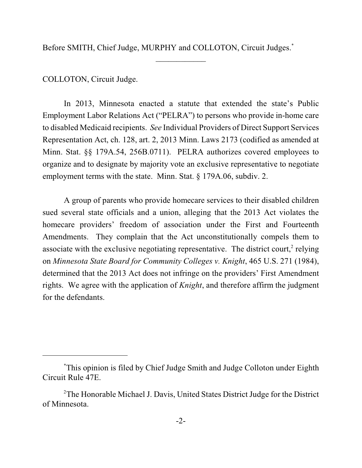Before SMITH, Chief Judge, MURPHY and COLLOTON, Circuit Judges.<sup>\*</sup>

 $\frac{1}{2}$ 

## COLLOTON, Circuit Judge.

In 2013, Minnesota enacted a statute that extended the state's Public Employment Labor Relations Act ("PELRA") to persons who provide in-home care to disabled Medicaid recipients. *See* Individual Providers of Direct Support Services Representation Act, ch. 128, art. 2, 2013 Minn. Laws 2173 (codified as amended at Minn. Stat. §§ 179A.54, 256B.0711). PELRA authorizes covered employees to organize and to designate by majority vote an exclusive representative to negotiate employment terms with the state. Minn. Stat. § 179A.06, subdiv. 2.

A group of parents who provide homecare services to their disabled children sued several state officials and a union, alleging that the 2013 Act violates the homecare providers' freedom of association under the First and Fourteenth Amendments. They complain that the Act unconstitutionally compels them to associate with the exclusive negotiating representative. The district court, $2$  relying on *Minnesota State Board for Community Colleges v. Knight*, 465 U.S. 271 (1984), determined that the 2013 Act does not infringe on the providers' First Amendment rights. We agree with the application of *Knight*, and therefore affirm the judgment for the defendants.

This opinion is filed by Chief Judge Smith and Judge Colloton under Eighth \* Circuit Rule 47E.

<sup>&</sup>lt;sup>2</sup>The Honorable Michael J. Davis, United States District Judge for the District of Minnesota.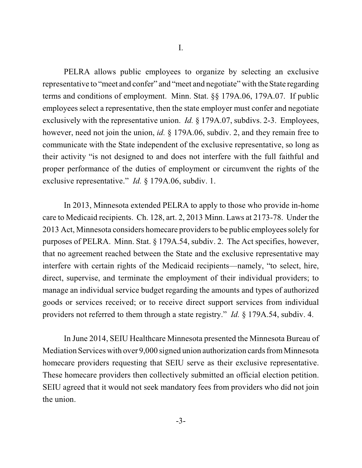PELRA allows public employees to organize by selecting an exclusive representative to "meet and confer" and "meet and negotiate" with the State regarding terms and conditions of employment. Minn. Stat. §§ 179A.06, 179A.07. If public employees select a representative, then the state employer must confer and negotiate exclusively with the representative union. *Id.* § 179A.07, subdivs. 2-3. Employees, however, need not join the union, *id.* § 179A.06, subdiv. 2, and they remain free to communicate with the State independent of the exclusive representative, so long as their activity "is not designed to and does not interfere with the full faithful and proper performance of the duties of employment or circumvent the rights of the exclusive representative." *Id.* § 179A.06, subdiv. 1.

In 2013, Minnesota extended PELRA to apply to those who provide in-home care to Medicaid recipients. Ch. 128, art. 2, 2013 Minn. Laws at 2173-78. Under the 2013 Act, Minnesota considers homecare providersto be public employees solely for purposes of PELRA. Minn. Stat. § 179A.54, subdiv. 2. The Act specifies, however, that no agreement reached between the State and the exclusive representative may interfere with certain rights of the Medicaid recipients—namely, "to select, hire, direct, supervise, and terminate the employment of their individual providers; to manage an individual service budget regarding the amounts and types of authorized goods or services received; or to receive direct support services from individual providers not referred to them through a state registry." *Id.* § 179A.54, subdiv. 4.

In June 2014, SEIU Healthcare Minnesota presented the Minnesota Bureau of Mediation Services with over 9,000 signed union authorization cards fromMinnesota homecare providers requesting that SEIU serve as their exclusive representative. These homecare providers then collectively submitted an official election petition. SEIU agreed that it would not seek mandatory fees from providers who did not join the union.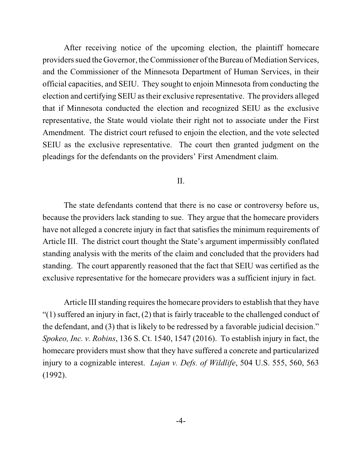After receiving notice of the upcoming election, the plaintiff homecare providers sued the Governor, the Commissioner of the Bureau of Mediation Services, and the Commissioner of the Minnesota Department of Human Services, in their official capacities, and SEIU. They sought to enjoin Minnesota from conducting the election and certifying SEIU astheir exclusive representative. The providers alleged that if Minnesota conducted the election and recognized SEIU as the exclusive representative, the State would violate their right not to associate under the First Amendment. The district court refused to enjoin the election, and the vote selected SEIU as the exclusive representative. The court then granted judgment on the pleadings for the defendants on the providers' First Amendment claim.

## II.

The state defendants contend that there is no case or controversy before us, because the providers lack standing to sue. They argue that the homecare providers have not alleged a concrete injury in fact that satisfies the minimum requirements of Article III. The district court thought the State's argument impermissibly conflated standing analysis with the merits of the claim and concluded that the providers had standing. The court apparently reasoned that the fact that SEIU was certified as the exclusive representative for the homecare providers was a sufficient injury in fact.

Article III standing requires the homecare providers to establish that they have "(1) suffered an injury in fact, (2) that is fairly traceable to the challenged conduct of the defendant, and (3) that is likely to be redressed by a favorable judicial decision." *Spokeo, Inc. v. Robins*, 136 S. Ct. 1540, 1547 (2016). To establish injury in fact, the homecare providers must show that they have suffered a concrete and particularized injury to a cognizable interest. *Lujan v. Defs. of Wildlife*, 504 U.S. 555, 560, 563 (1992).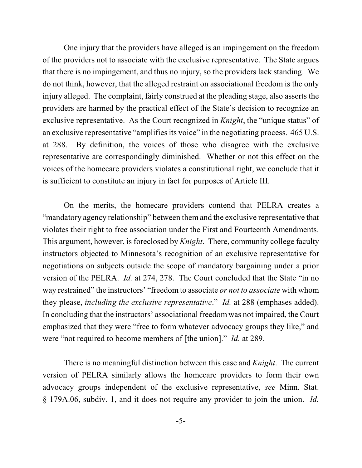One injury that the providers have alleged is an impingement on the freedom of the providers not to associate with the exclusive representative. The State argues that there is no impingement, and thus no injury, so the providers lack standing. We do not think, however, that the alleged restraint on associational freedom is the only injury alleged. The complaint, fairly construed at the pleading stage, also asserts the providers are harmed by the practical effect of the State's decision to recognize an exclusive representative. As the Court recognized in *Knight*, the "unique status" of an exclusive representative "amplifies its voice" in the negotiating process. 465 U.S. at 288. By definition, the voices of those who disagree with the exclusive representative are correspondingly diminished. Whether or not this effect on the voices of the homecare providers violates a constitutional right, we conclude that it is sufficient to constitute an injury in fact for purposes of Article III.

On the merits, the homecare providers contend that PELRA creates a "mandatory agency relationship" between them and the exclusive representative that violates their right to free association under the First and Fourteenth Amendments. This argument, however, is foreclosed by *Knight*. There, community college faculty instructors objected to Minnesota's recognition of an exclusive representative for negotiations on subjects outside the scope of mandatory bargaining under a prior version of the PELRA. *Id.* at 274, 278. The Court concluded that the State "in no way restrained" the instructors' "freedom to associate *or not to associate* with whom they please, *including the exclusive representative*." *Id.* at 288 (emphases added). In concluding that the instructors' associational freedom was not impaired, the Court emphasized that they were "free to form whatever advocacy groups they like," and were "not required to become members of [the union]." *Id.* at 289.

There is no meaningful distinction between this case and *Knight*. The current version of PELRA similarly allows the homecare providers to form their own advocacy groups independent of the exclusive representative, *see* Minn. Stat. § 179A.06, subdiv. 1, and it does not require any provider to join the union. *Id.*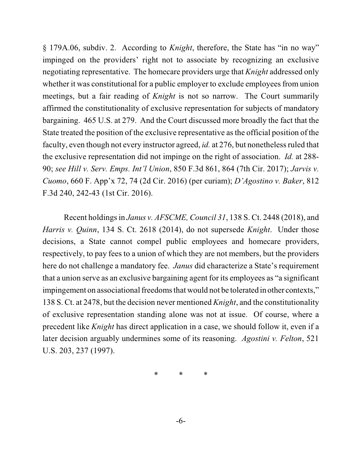§ 179A.06, subdiv. 2. According to *Knight*, therefore, the State has "in no way" impinged on the providers' right not to associate by recognizing an exclusive negotiating representative. The homecare providers urge that *Knight* addressed only whether it was constitutional for a public employer to exclude employees from union meetings, but a fair reading of *Knight* is not so narrow. The Court summarily affirmed the constitutionality of exclusive representation for subjects of mandatory bargaining. 465 U.S. at 279. And the Court discussed more broadly the fact that the State treated the position of the exclusive representative asthe official position of the faculty, even though not every instructor agreed, *id.* at 276, but nonetheless ruled that the exclusive representation did not impinge on the right of association. *Id.* at 288- 90; *see Hill v. Serv. Emps. Int'l Union*, 850 F.3d 861, 864 (7th Cir. 2017); *Jarvis v. Cuomo*, 660 F. App'x 72, 74 (2d Cir. 2016) (per curiam); *D'Agostino v. Baker*, 812 F.3d 240, 242-43 (1st Cir. 2016).

Recent holdingsin *Janus v. AFSCME, Council 31*, 138 S. Ct. 2448 (2018), and *Harris v. Quinn*, 134 S. Ct. 2618 (2014), do not supersede *Knight*. Under those decisions, a State cannot compel public employees and homecare providers, respectively, to pay fees to a union of which they are not members, but the providers here do not challenge a mandatory fee. *Janus* did characterize a State's requirement that a union serve as an exclusive bargaining agent for its employees as "a significant impingement on associational freedoms that would not be tolerated in other contexts," 138 S. Ct. at 2478, but the decision never mentioned *Knight*, and the constitutionality of exclusive representation standing alone was not at issue. Of course, where a precedent like *Knight* has direct application in a case, we should follow it, even if a later decision arguably undermines some of its reasoning. *Agostini v. Felton*, 521 U.S. 203, 237 (1997).

\* \* \*